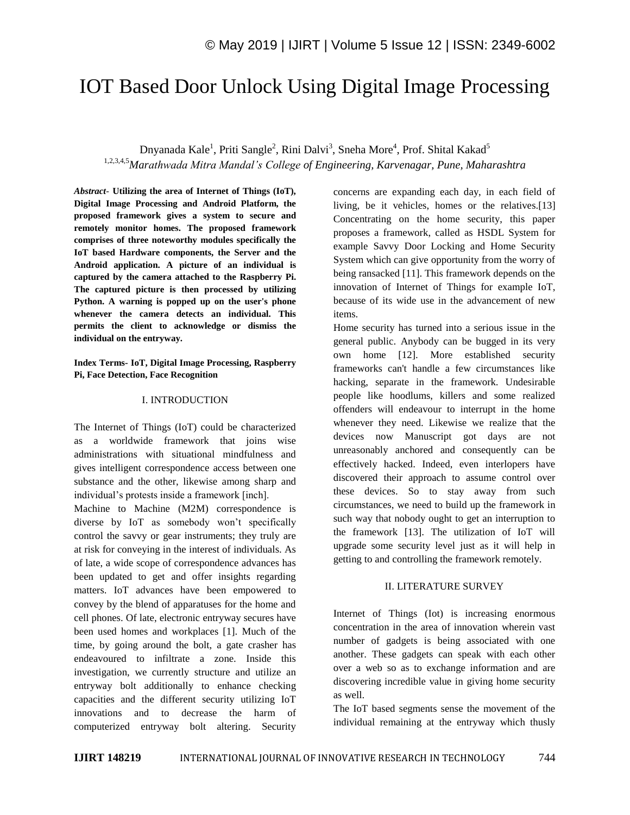# IOT Based Door Unlock Using Digital Image Processing

Dnyanada Kale<sup>1</sup>, Priti Sangle<sup>2</sup>, Rini Dalvi<sup>3</sup>, Sneha More<sup>4</sup>, Prof. Shital Kakad<sup>5</sup> 1,2,3,4,5*Marathwada Mitra Mandal's College of Engineering, Karvenagar, Pune, Maharashtra*

*Abstract*- **Utilizing the area of Internet of Things (IoT), Digital Image Processing and Android Platform, the proposed framework gives a system to secure and remotely monitor homes. The proposed framework comprises of three noteworthy modules specifically the IoT based Hardware components, the Server and the Android application. A picture of an individual is captured by the camera attached to the Raspberry Pi. The captured picture is then processed by utilizing Python. A warning is popped up on the user's phone whenever the camera detects an individual. This permits the client to acknowledge or dismiss the individual on the entryway.**

**Index Terms- IoT, Digital Image Processing, Raspberry Pi, Face Detection, Face Recognition**

#### I. INTRODUCTION

The Internet of Things (IoT) could be characterized as a worldwide framework that joins wise administrations with situational mindfulness and gives intelligent correspondence access between one substance and the other, likewise among sharp and individual's protests inside a framework [inch].

Machine to Machine (M2M) correspondence is diverse by IoT as somebody won't specifically control the savvy or gear instruments; they truly are at risk for conveying in the interest of individuals. As of late, a wide scope of correspondence advances has been updated to get and offer insights regarding matters. IoT advances have been empowered to convey by the blend of apparatuses for the home and cell phones. Of late, electronic entryway secures have been used homes and workplaces [1]. Much of the time, by going around the bolt, a gate crasher has endeavoured to infiltrate a zone. Inside this investigation, we currently structure and utilize an entryway bolt additionally to enhance checking capacities and the different security utilizing IoT innovations and to decrease the harm of computerized entryway bolt altering. Security concerns are expanding each day, in each field of living, be it vehicles, homes or the relatives.[13] Concentrating on the home security, this paper proposes a framework, called as HSDL System for example Savvy Door Locking and Home Security System which can give opportunity from the worry of being ransacked [11]. This framework depends on the innovation of Internet of Things for example IoT, because of its wide use in the advancement of new items.

Home security has turned into a serious issue in the general public. Anybody can be bugged in its very own home [12]. More established security frameworks can't handle a few circumstances like hacking, separate in the framework. Undesirable people like hoodlums, killers and some realized offenders will endeavour to interrupt in the home whenever they need. Likewise we realize that the devices now Manuscript got days are not unreasonably anchored and consequently can be effectively hacked. Indeed, even interlopers have discovered their approach to assume control over these devices. So to stay away from such circumstances, we need to build up the framework in such way that nobody ought to get an interruption to the framework [13]. The utilization of IoT will upgrade some security level just as it will help in getting to and controlling the framework remotely.

### II. LITERATURE SURVEY

Internet of Things (Iot) is increasing enormous concentration in the area of innovation wherein vast number of gadgets is being associated with one another. These gadgets can speak with each other over a web so as to exchange information and are discovering incredible value in giving home security as well.

The IoT based segments sense the movement of the individual remaining at the entryway which thusly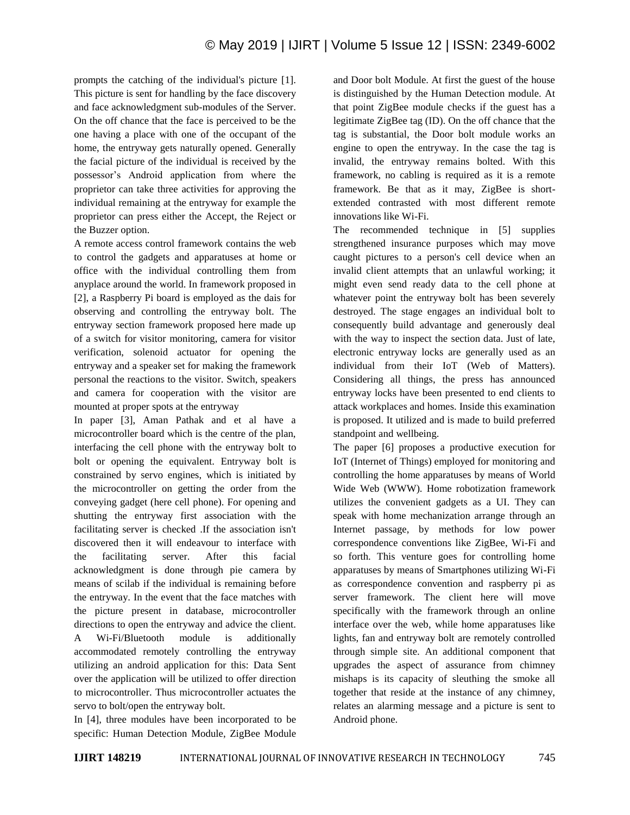prompts the catching of the individual's picture [1]. This picture is sent for handling by the face discovery and face acknowledgment sub-modules of the Server. On the off chance that the face is perceived to be the one having a place with one of the occupant of the home, the entryway gets naturally opened. Generally the facial picture of the individual is received by the possessor's Android application from where the proprietor can take three activities for approving the individual remaining at the entryway for example the proprietor can press either the Accept, the Reject or the Buzzer option.

A remote access control framework contains the web to control the gadgets and apparatuses at home or office with the individual controlling them from anyplace around the world. In framework proposed in [2], a Raspberry Pi board is employed as the dais for observing and controlling the entryway bolt. The entryway section framework proposed here made up of a switch for visitor monitoring, camera for visitor verification, solenoid actuator for opening the entryway and a speaker set for making the framework personal the reactions to the visitor. Switch, speakers and camera for cooperation with the visitor are mounted at proper spots at the entryway

In paper [3], Aman Pathak and et al have a microcontroller board which is the centre of the plan, interfacing the cell phone with the entryway bolt to bolt or opening the equivalent. Entryway bolt is constrained by servo engines, which is initiated by the microcontroller on getting the order from the conveying gadget (here cell phone). For opening and shutting the entryway first association with the facilitating server is checked .If the association isn't discovered then it will endeavour to interface with the facilitating server. After this facial acknowledgment is done through pie camera by means of scilab if the individual is remaining before the entryway. In the event that the face matches with the picture present in database, microcontroller directions to open the entryway and advice the client. A Wi-Fi/Bluetooth module is additionally accommodated remotely controlling the entryway utilizing an android application for this: Data Sent over the application will be utilized to offer direction to microcontroller. Thus microcontroller actuates the servo to bolt/open the entryway bolt.

In [4], three modules have been incorporated to be specific: Human Detection Module, ZigBee Module and Door bolt Module. At first the guest of the house is distinguished by the Human Detection module. At that point ZigBee module checks if the guest has a legitimate ZigBee tag (ID). On the off chance that the tag is substantial, the Door bolt module works an engine to open the entryway. In the case the tag is invalid, the entryway remains bolted. With this framework, no cabling is required as it is a remote framework. Be that as it may, ZigBee is shortextended contrasted with most different remote innovations like Wi-Fi.

The recommended technique in [5] supplies strengthened insurance purposes which may move caught pictures to a person's cell device when an invalid client attempts that an unlawful working; it might even send ready data to the cell phone at whatever point the entryway bolt has been severely destroyed. The stage engages an individual bolt to consequently build advantage and generously deal with the way to inspect the section data. Just of late, electronic entryway locks are generally used as an individual from their IoT (Web of Matters). Considering all things, the press has announced entryway locks have been presented to end clients to attack workplaces and homes. Inside this examination is proposed. It utilized and is made to build preferred standpoint and wellbeing.

The paper [6] proposes a productive execution for IoT (Internet of Things) employed for monitoring and controlling the home apparatuses by means of World Wide Web (WWW). Home robotization framework utilizes the convenient gadgets as a UI. They can speak with home mechanization arrange through an Internet passage, by methods for low power correspondence conventions like ZigBee, Wi-Fi and so forth. This venture goes for controlling home apparatuses by means of Smartphones utilizing Wi-Fi as correspondence convention and raspberry pi as server framework. The client here will move specifically with the framework through an online interface over the web, while home apparatuses like lights, fan and entryway bolt are remotely controlled through simple site. An additional component that upgrades the aspect of assurance from chimney mishaps is its capacity of sleuthing the smoke all together that reside at the instance of any chimney, relates an alarming message and a picture is sent to Android phone.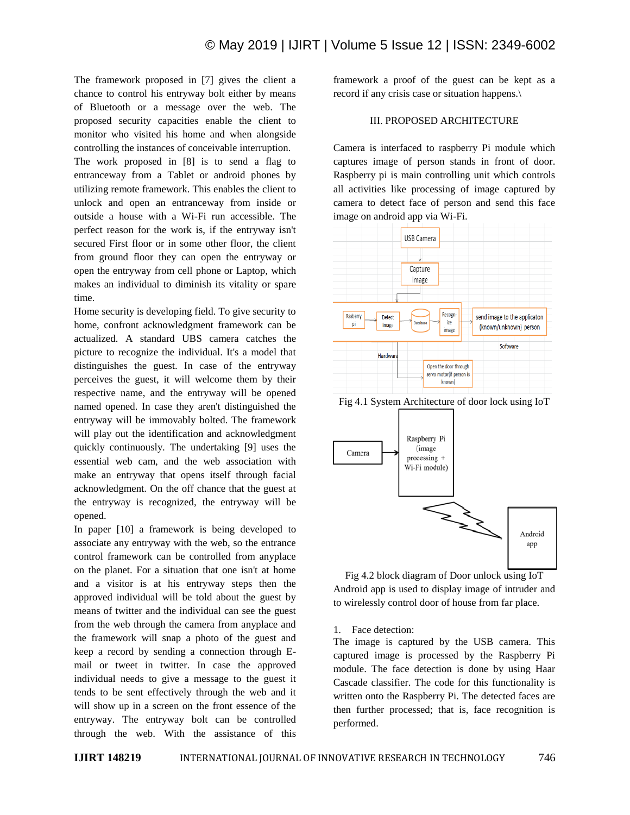The framework proposed in [7] gives the client a chance to control his entryway bolt either by means of Bluetooth or a message over the web. The proposed security capacities enable the client to monitor who visited his home and when alongside controlling the instances of conceivable interruption.

The work proposed in [8] is to send a flag to entranceway from a Tablet or android phones by utilizing remote framework. This enables the client to unlock and open an entranceway from inside or outside a house with a Wi-Fi run accessible. The perfect reason for the work is, if the entryway isn't secured First floor or in some other floor, the client from ground floor they can open the entryway or open the entryway from cell phone or Laptop, which makes an individual to diminish its vitality or spare time.

Home security is developing field. To give security to home, confront acknowledgment framework can be actualized. A standard UBS camera catches the picture to recognize the individual. It's a model that distinguishes the guest. In case of the entryway perceives the guest, it will welcome them by their respective name, and the entryway will be opened named opened. In case they aren't distinguished the entryway will be immovably bolted. The framework will play out the identification and acknowledgment quickly continuously. The undertaking [9] uses the essential web cam, and the web association with make an entryway that opens itself through facial acknowledgment. On the off chance that the guest at the entryway is recognized, the entryway will be opened.

In paper [10] a framework is being developed to associate any entryway with the web, so the entrance control framework can be controlled from anyplace on the planet. For a situation that one isn't at home and a visitor is at his entryway steps then the approved individual will be told about the guest by means of twitter and the individual can see the guest from the web through the camera from anyplace and the framework will snap a photo of the guest and keep a record by sending a connection through Email or tweet in twitter. In case the approved individual needs to give a message to the guest it tends to be sent effectively through the web and it will show up in a screen on the front essence of the entryway. The entryway bolt can be controlled through the web. With the assistance of this

framework a proof of the guest can be kept as a record if any crisis case or situation happens.\

# III. PROPOSED ARCHITECTURE

Camera is interfaced to raspberry Pi module which captures image of person stands in front of door. Raspberry pi is main controlling unit which controls all activities like processing of image captured by camera to detect face of person and send this face image on android app via Wi-Fi.



Fig 4.1 System Architecture of door lock using IoT



Fig 4.2 block diagram of Door unlock using IoT Android app is used to display image of intruder and to wirelessly control door of house from far place.

#### 1. Face detection:

The image is captured by the USB camera. This captured image is processed by the Raspberry Pi module. The face detection is done by using Haar Cascade classifier. The code for this functionality is written onto the Raspberry Pi. The detected faces are then further processed; that is, face recognition is performed.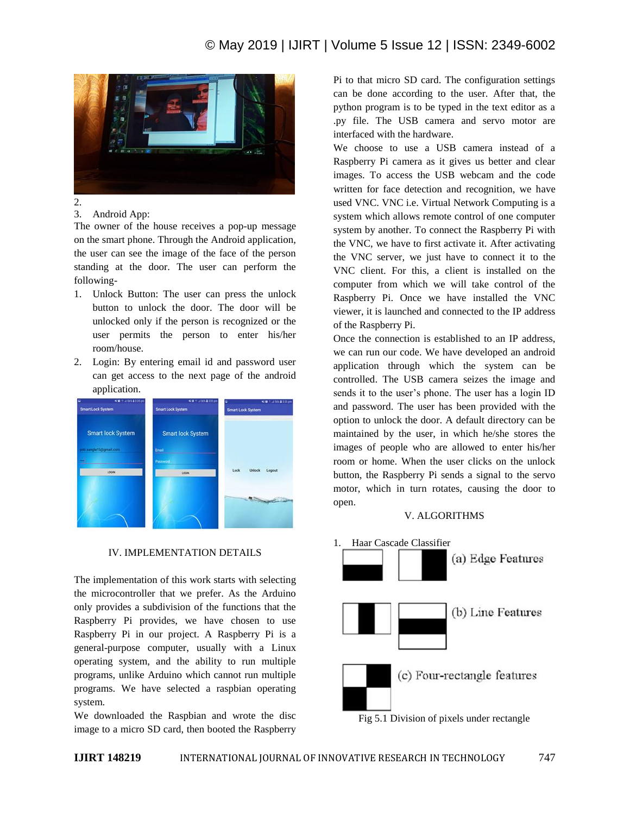

 $2<sup>2</sup>$ 

3. Android App:

The owner of the house receives a pop-up message on the smart phone. Through the Android application, the user can see the image of the face of the person standing at the door. The user can perform the following-

- 1. Unlock Button: The user can press the unlock button to unlock the door. The door will be unlocked only if the person is recognized or the user permits the person to enter his/her room/house.
- 2. Login: By entering email id and password user can get access to the next page of the android application.



# IV. IMPLEMENTATION DETAILS

The implementation of this work starts with selecting the microcontroller that we prefer. As the Arduino only provides a subdivision of the functions that the Raspberry Pi provides, we have chosen to use Raspberry Pi in our project. A Raspberry Pi is a general-purpose computer, usually with a Linux operating system, and the ability to run multiple programs, unlike Arduino which cannot run multiple programs. We have selected a raspbian operating system.

We downloaded the Raspbian and wrote the disc image to a micro SD card, then booted the Raspberry

Pi to that micro SD card. The configuration settings can be done according to the user. After that, the python program is to be typed in the text editor as a .py file. The USB camera and servo motor are interfaced with the hardware.

We choose to use a USB camera instead of a Raspberry Pi camera as it gives us better and clear images. To access the USB webcam and the code written for face detection and recognition, we have used VNC. VNC i.e. Virtual Network Computing is a system which allows remote control of one computer system by another. To connect the Raspberry Pi with the VNC, we have to first activate it. After activating the VNC server, we just have to connect it to the VNC client. For this, a client is installed on the computer from which we will take control of the Raspberry Pi. Once we have installed the VNC viewer, it is launched and connected to the IP address of the Raspberry Pi.

Once the connection is established to an IP address, we can run our code. We have developed an android application through which the system can be controlled. The USB camera seizes the image and sends it to the user's phone. The user has a login ID and password. The user has been provided with the option to unlock the door. A default directory can be maintained by the user, in which he/she stores the images of people who are allowed to enter his/her room or home. When the user clicks on the unlock button, the Raspberry Pi sends a signal to the servo motor, which in turn rotates, causing the door to open.

## V. ALGORITHMS

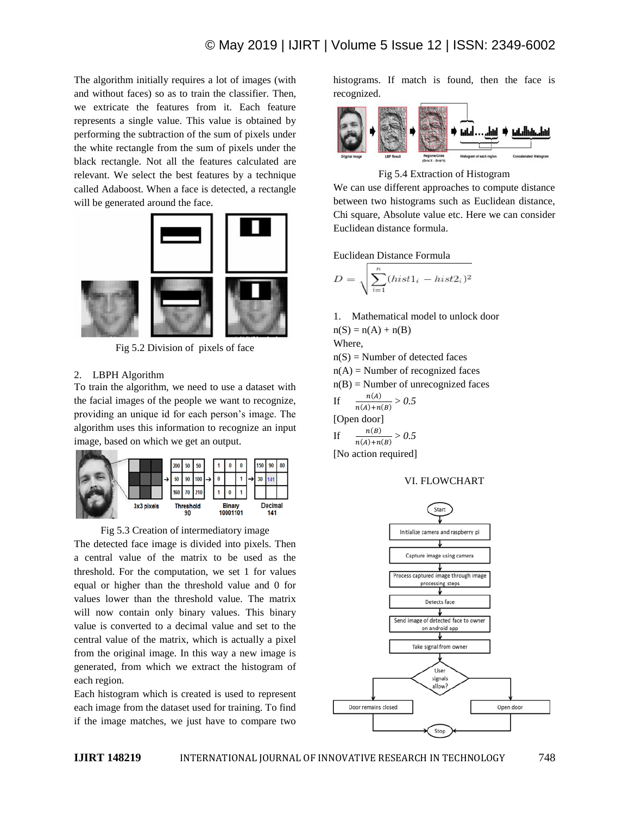The algorithm initially requires a lot of images (with and without faces) so as to train the classifier. Then, we extricate the features from it. Each feature represents a single value. This value is obtained by performing the subtraction of the sum of pixels under the white rectangle from the sum of pixels under the black rectangle. Not all the features calculated are relevant. We select the best features by a technique called Adaboost. When a face is detected, a rectangle will be generated around the face.



Fig 5.2 Division of pixels of face

### 2. LBPH Algorithm

To train the algorithm, we need to use a dataset with the facial images of the people we want to recognize, providing an unique id for each person's image. The algorithm uses this information to recognize an input image, based on which we get an output.





The detected face image is divided into pixels. Then a central value of the matrix to be used as the threshold. For the computation, we set 1 for values equal or higher than the threshold value and 0 for values lower than the threshold value. The matrix will now contain only binary values. This binary value is converted to a decimal value and set to the central value of the matrix, which is actually a pixel from the original image. In this way a new image is generated, from which we extract the histogram of each region.

Each histogram which is created is used to represent each image from the dataset used for training. To find if the image matches, we just have to compare two

histograms. If match is found, then the face is recognized.



Fig 5.4 Extraction of Histogram

We can use different approaches to compute distance between two histograms such as Euclidean distance, Chi square, Absolute value etc. Here we can consider Euclidean distance formula.

Euclidean Distance Formula

$$
D = \sqrt{\sum_{i=1}^{n} (hist1_i - hist2_i)^2}
$$

1. Mathematical model to unlock door  $n(S) = n(A) + n(B)$ 

Where,

 $n(S)$  = Number of detected faces

 $n(A)$  = Number of recognized faces

 $n(B)$  = Number of unrecognized faces

If 
$$
\frac{n(A)}{n(A) + n(B)} > 0.5
$$
  
[Open door]  
If 
$$
\frac{n(B)}{n(A) + n(B)} > 0.5
$$

[No action required]